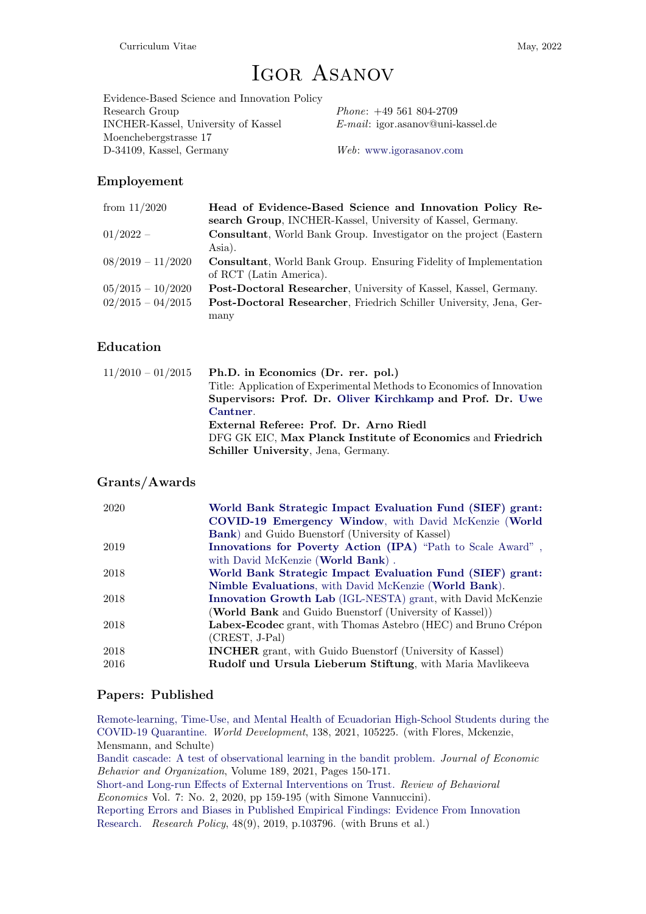# Igor Asanov

Evidence-Based Science and Innovation Policy Research Group Phone: +49 561 804-2709 INCHER-Kassel, University of Kassel E-mail: igor.asanov@uni-kassel.de Moenchebergstrasse 17 D-34109, Kassel, Germany Web: [www.igorasanov.com](http://www.igorasanov.com)

# Employement

| from $11/2020$      | Head of Evidence-Based Science and Innovation Policy Re-                   |
|---------------------|----------------------------------------------------------------------------|
|                     | search Group, INCHER-Kassel, University of Kassel, Germany.                |
| $01/2022 -$         | <b>Consultant</b> , World Bank Group. Investigator on the project (Eastern |
|                     | Asia).                                                                     |
| $08/2019 - 11/2020$ | <b>Consultant</b> , World Bank Group. Ensuring Fidelity of Implementation  |
|                     | of RCT (Latin America).                                                    |
| $05/2015 - 10/2020$ | Post-Doctoral Researcher, University of Kassel, Kassel, Germany.           |
| $02/2015 - 04/2015$ | <b>Post-Doctoral Researcher, Friedrich Schiller University, Jena, Ger-</b> |
|                     | many                                                                       |

# Education

| $11/2010 - 01/2015$ Ph.D. in Economics (Dr. rer. pol.)                |
|-----------------------------------------------------------------------|
| Title: Application of Experimental Methods to Economics of Innovation |
| Supervisors: Prof. Dr. Oliver Kirchkamp and Prof. Dr. Uwe             |
| Cantner.                                                              |
| External Referee: Prof. Dr. Arno Riedl                                |
| DFG GK EIC, Max Planck Institute of Economics and Friedrich           |
| <b>Schiller University, Jena, Germany.</b>                            |

# Grants/Awards

| <b>Bank</b> ) and Guido Buenstorf (University of Kassel)<br>2019<br>with David McKenzie (World Bank).<br>2018<br>Nimble Evaluations, with David McKenzie (World Bank).<br>2018<br>(World Bank and Guido Buenstorf (University of Kassel))<br>2018<br>(CREST, J-Pal)<br><b>INCHER</b> grant, with Guido Buenstorf (University of Kassel)<br>2018 | 2020 | World Bank Strategic Impact Evaluation Fund (SIEF) grant:<br>COVID-19 Emergency Window, with David McKenzie (World |
|-------------------------------------------------------------------------------------------------------------------------------------------------------------------------------------------------------------------------------------------------------------------------------------------------------------------------------------------------|------|--------------------------------------------------------------------------------------------------------------------|
|                                                                                                                                                                                                                                                                                                                                                 |      |                                                                                                                    |
|                                                                                                                                                                                                                                                                                                                                                 |      | Innovations for Poverty Action (IPA) "Path to Scale Award",                                                        |
|                                                                                                                                                                                                                                                                                                                                                 |      |                                                                                                                    |
|                                                                                                                                                                                                                                                                                                                                                 |      | World Bank Strategic Impact Evaluation Fund (SIEF) grant:                                                          |
|                                                                                                                                                                                                                                                                                                                                                 |      |                                                                                                                    |
|                                                                                                                                                                                                                                                                                                                                                 |      | Innovation Growth Lab (IGL-NESTA) grant, with David McKenzie                                                       |
|                                                                                                                                                                                                                                                                                                                                                 |      |                                                                                                                    |
|                                                                                                                                                                                                                                                                                                                                                 |      | Labex-Ecodec grant, with Thomas Astebro (HEC) and Bruno Crépon                                                     |
|                                                                                                                                                                                                                                                                                                                                                 |      |                                                                                                                    |
|                                                                                                                                                                                                                                                                                                                                                 |      |                                                                                                                    |
|                                                                                                                                                                                                                                                                                                                                                 | 2016 | Rudolf und Ursula Lieberum Stiftung, with Maria Mavlikeeva                                                         |

# Papers: Published

[Remote-learning, Time-Use, and Mental Health of Ecuadorian High-School Students during the](https://www.sciencedirect.com/science/article/pii/S0305750X20303521?dgcid=coauthor) [COVID-19 Quarantine.](https://www.sciencedirect.com/science/article/pii/S0305750X20303521?dgcid=coauthor) World Development, 138, 2021, 105225. (with Flores, Mckenzie, Mensmann, and Schulte)

[Bandit cascade: A test of observational learning in the bandit problem.](https://www.sciencedirect.com/science/article/abs/pii/S0167268121002390) Journal of Economic Behavior and Organization, Volume 189, 2021, Pages 150-171.

[Short-and Long-run Effects of External Interventions on Trust.](http://www.igorasanov.com/uploads/1/9/9/0/19906299/external_interventions_and_trust_agg.pdf) Review of Behavioral Economics Vol. 7: No. 2, 2020, pp 159-195 (with Simone Vannuccini).

[Reporting Errors and Biases in Published Empirical Findings: Evidence From Innovation](https://www.sciencedirect.com/science/article/abs/pii/S0048733319301076) [Research.](https://www.sciencedirect.com/science/article/abs/pii/S0048733319301076) Research Policy, 48(9), 2019, p.103796. (with Bruns et al.)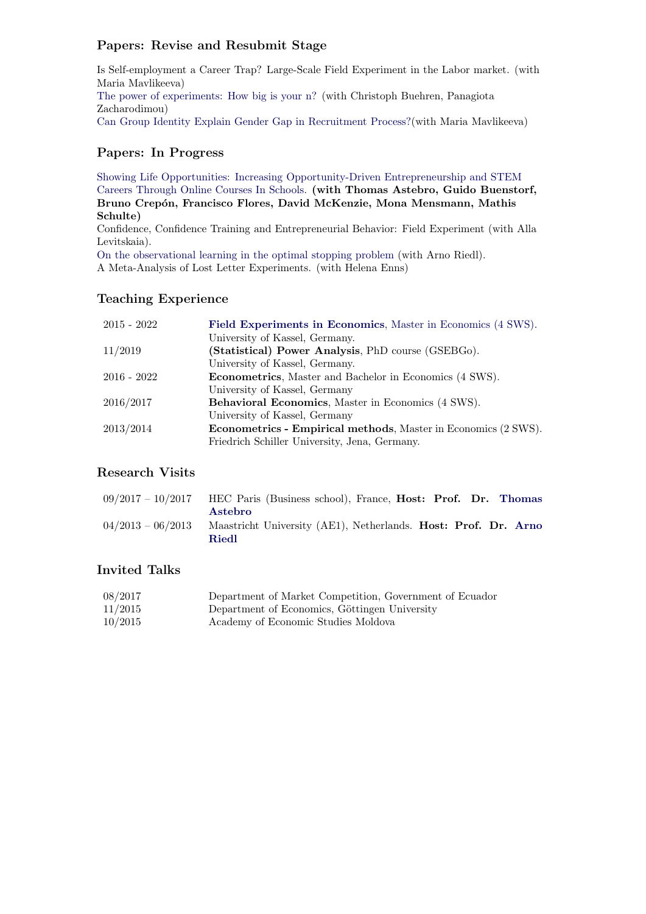# Papers: Revise and Resubmit Stage

Is Self-employment a Career Trap? Large-Scale Field Experiment in the Labor market. (with Maria Mavlikeeva) [The power of experiments: How big is your n?](https://www.uni-marburg.de/en/fb02/research-groups/economics/macroeconomics/research/magks-joint-discussion-papers-in-economics/papers/2020-papers/32-2020_asanov.pdf) (with Christoph Buehren, Panagiota Zacharodimou) [Can Group Identity Explain Gender Gap in Recruitment Process?\(](https://www.econstor.eu/handle/10419/224647)with Maria Mavlikeeva)

# Papers: In Progress

[Showing Life Opportunities: Increasing Opportunity-Driven Entrepreneurship and STEM](https://www.innovationgrowthlab.org/blog/showing-life-opportunities-increasing-opportunity-driven-entrepreneurship-and-stem-careers) [Careers Through Online Courses In Schools.](https://www.innovationgrowthlab.org/blog/showing-life-opportunities-increasing-opportunity-driven-entrepreneurship-and-stem-careers) (with Thomas Astebro, Guido Buenstorf, Bruno Crepón, Francisco Flores, David McKenzie, Mona Mensmann, Mathis Schulte) Confidence, Confidence Training and Entrepreneurial Behavior: Field Experiment (with Alla Levitskaia).

[On the observational learning in the optimal stopping problem](http://www.igorasanov.com/uploads/1/9/9/0/19906299/optimal_stopping_problem_full.pdf) (with Arno Riedl). A Meta-Analysis of Lost Letter Experiments. (with Helena Enns)

# Teaching Experience

| $2015 - 2022$ | Field Experiments in Economics, Master in Economics (4 SWS).           |
|---------------|------------------------------------------------------------------------|
|               | University of Kassel, Germany.                                         |
| 11/2019       | (Statistical) Power Analysis, PhD course (GSEBGo).                     |
|               | University of Kassel, Germany.                                         |
| $2016 - 2022$ | <b>Econometrics</b> , Master and Bachelor in Economics (4 SWS).        |
|               | University of Kassel, Germany                                          |
| 2016/2017     | Behavioral Economics, Master in Economics (4 SWS).                     |
|               | University of Kassel, Germany                                          |
| 2013/2014     | <b>Econometrics - Empirical methods</b> , Master in Economics (2 SWS). |
|               | Friedrich Schiller University, Jena, Germany.                          |

# Research Visits

| $09/2017 - 10/2017$ HEC Paris (Business school), France, <b>Host: Prof. Dr. Thomas</b> |
|----------------------------------------------------------------------------------------|
| Astebro                                                                                |
| $04/2013 - 06/2013$ Maastricht University (AE1), Netherlands. Host: Prof. Dr. Arno     |
| Riedl                                                                                  |

# Invited Talks

| 08/2017 | Department of Market Competition, Government of Ecuador |
|---------|---------------------------------------------------------|
| 11/2015 | Department of Economics, Göttingen University           |
| 10/2015 | Academy of Economic Studies Moldova                     |